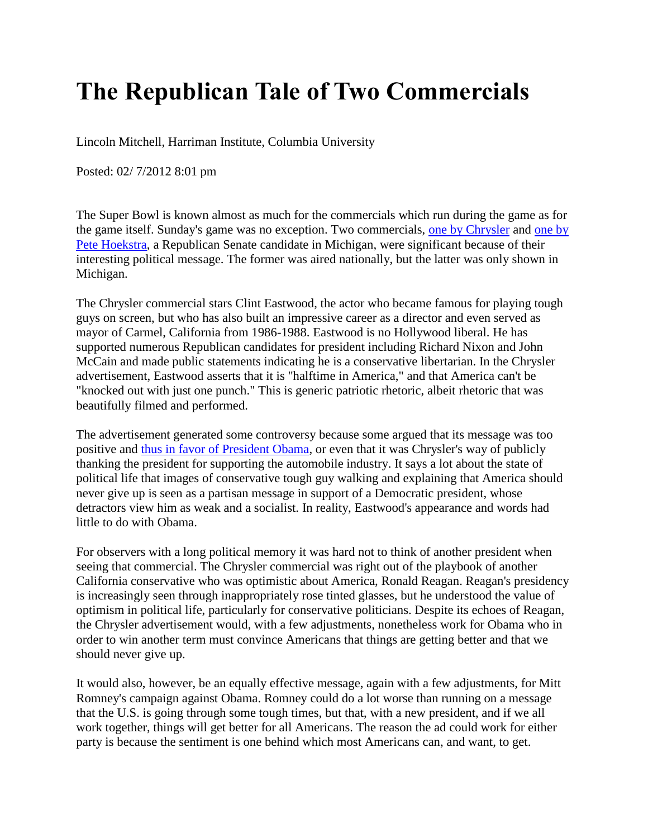## **The Republican Tale of Two Commercials**

Lincoln Mitchell, Harriman Institute, Columbia University

Posted: 02/ 7/2012 8:01 pm

The Super Bowl is known almost as much for the commercials which run during the game as for the game itself. Sunday's game was no exception. Two commercials, [one by Chrysler](http://www.youtube.com/chrysler) and [one by](http://www.youtube.com/watch?v=kxw4uZAezaI)  [Pete Hoekstra,](http://www.youtube.com/watch?v=kxw4uZAezaI) a Republican Senate candidate in Michigan, were significant because of their interesting political message. The former was aired nationally, but the latter was only shown in Michigan.

The Chrysler commercial stars Clint Eastwood, the actor who became famous for playing tough guys on screen, but who has also built an impressive career as a director and even served as mayor of Carmel, California from 1986-1988. Eastwood is no Hollywood liberal. He has supported numerous Republican candidates for president including Richard Nixon and John McCain and made public statements indicating he is a conservative libertarian. In the Chrysler advertisement, Eastwood asserts that it is "halftime in America," and that America can't be "knocked out with just one punch." This is generic patriotic rhetoric, albeit rhetoric that was beautifully filmed and performed.

The advertisement generated some controversy because some argued that its message was too positive and [thus in favor of President Obama,](http://abcnews.go.com/blogs/business/2012/02/clint-eastwoods-chrysler-ad-stirs-political-waters/) or even that it was Chrysler's way of publicly thanking the president for supporting the automobile industry. It says a lot about the state of political life that images of conservative tough guy walking and explaining that America should never give up is seen as a partisan message in support of a Democratic president, whose detractors view him as weak and a socialist. In reality, Eastwood's appearance and words had little to do with Obama.

For observers with a long political memory it was hard not to think of another president when seeing that commercial. The Chrysler commercial was right out of the playbook of another California conservative who was optimistic about America, Ronald Reagan. Reagan's presidency is increasingly seen through inappropriately rose tinted glasses, but he understood the value of optimism in political life, particularly for conservative politicians. Despite its echoes of Reagan, the Chrysler advertisement would, with a few adjustments, nonetheless work for Obama who in order to win another term must convince Americans that things are getting better and that we should never give up.

It would also, however, be an equally effective message, again with a few adjustments, for Mitt Romney's campaign against Obama. Romney could do a lot worse than running on a message that the U.S. is going through some tough times, but that, with a new president, and if we all work together, things will get better for all Americans. The reason the ad could work for either party is because the sentiment is one behind which most Americans can, and want, to get.